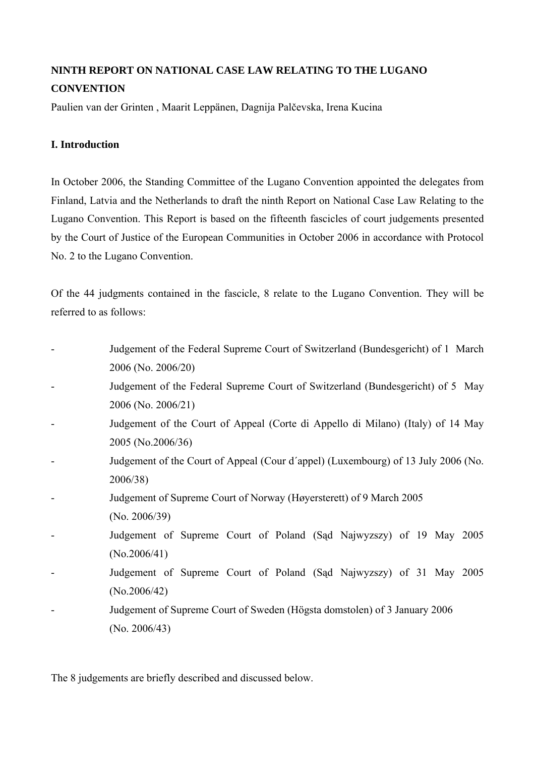# **NINTH REPORT ON NATIONAL CASE LAW RELATING TO THE LUGANO CONVENTION**

Paulien van der Grinten , Maarit Leppänen, Dagnija Palčevska, Irena Kucina

## **I. Introduction**

In October 2006, the Standing Committee of the Lugano Convention appointed the delegates from Finland, Latvia and the Netherlands to draft the ninth Report on National Case Law Relating to the Lugano Convention. This Report is based on the fifteenth fascicles of court judgements presented by the Court of Justice of the European Communities in October 2006 in accordance with Protocol No. 2 to the Lugano Convention.

Of the 44 judgments contained in the fascicle, 8 relate to the Lugano Convention. They will be referred to as follows:

- Judgement of the Federal Supreme Court of Switzerland (Bundesgericht) of 1 March 2006 (No. 2006/20)
- Judgement of the Federal Supreme Court of Switzerland (Bundesgericht) of 5 May 2006 (No. 2006/21)
- Judgement of the Court of Appeal (Corte di Appello di Milano) (Italy) of 14 May 2005 (No.2006/36)
- Judgement of the Court of Appeal (Cour d´appel) (Luxembourg) of 13 July 2006 (No. 2006/38)
- Judgement of Supreme Court of Norway (Høyersterett) of 9 March 2005
- (No. 2006/39)
- Judgement of Supreme Court of Poland (Sąd Najwyzszy) of 19 May 2005 (No.2006/41)
- Judgement of Supreme Court of Poland (Sad Najwyzszy) of 31 May 2005 (No.2006/42)
- Judgement of Supreme Court of Sweden (Högsta domstolen) of 3 January 2006 (No. 2006/43)

The 8 judgements are briefly described and discussed below.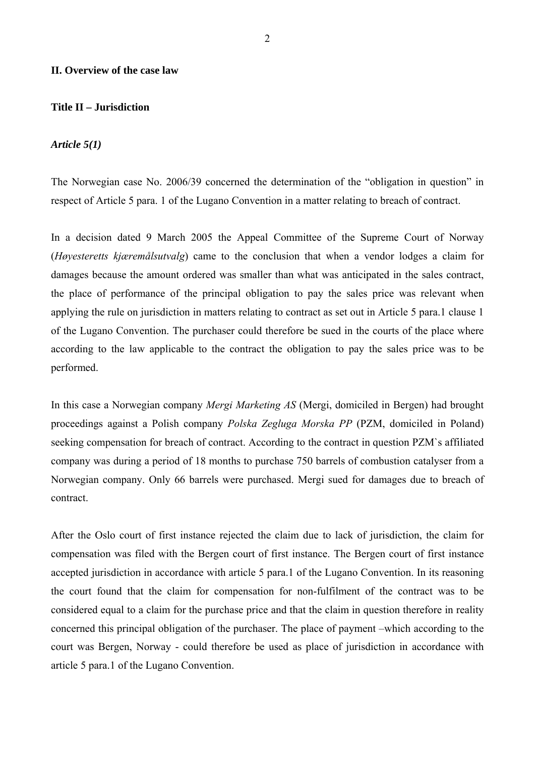#### **II. Overview of the case law**

## **Title II – Jurisdiction**

#### *Article 5(1)*

The Norwegian case No. 2006/39 concerned the determination of the "obligation in question" in respect of Article 5 para. 1 of the Lugano Convention in a matter relating to breach of contract.

In a decision dated 9 March 2005 the Appeal Committee of the Supreme Court of Norway (*Høyesteretts kjæremålsutvalg*) came to the conclusion that when a vendor lodges a claim for damages because the amount ordered was smaller than what was anticipated in the sales contract, the place of performance of the principal obligation to pay the sales price was relevant when applying the rule on jurisdiction in matters relating to contract as set out in Article 5 para.1 clause 1 of the Lugano Convention. The purchaser could therefore be sued in the courts of the place where according to the law applicable to the contract the obligation to pay the sales price was to be performed.

In this case a Norwegian company *Mergi Marketing AS* (Mergi, domiciled in Bergen) had brought proceedings against a Polish company *Polska Zegluga Morska PP* (PZM, domiciled in Poland) seeking compensation for breach of contract. According to the contract in question PZM`s affiliated company was during a period of 18 months to purchase 750 barrels of combustion catalyser from a Norwegian company. Only 66 barrels were purchased. Mergi sued for damages due to breach of contract.

After the Oslo court of first instance rejected the claim due to lack of jurisdiction, the claim for compensation was filed with the Bergen court of first instance. The Bergen court of first instance accepted jurisdiction in accordance with article 5 para.1 of the Lugano Convention. In its reasoning the court found that the claim for compensation for non-fulfilment of the contract was to be considered equal to a claim for the purchase price and that the claim in question therefore in reality concerned this principal obligation of the purchaser. The place of payment –which according to the court was Bergen, Norway - could therefore be used as place of jurisdiction in accordance with article 5 para.1 of the Lugano Convention.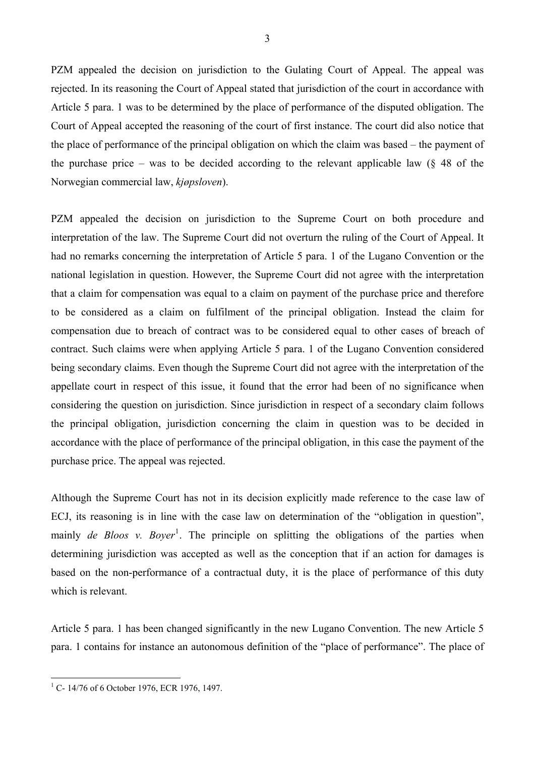PZM appealed the decision on jurisdiction to the Gulating Court of Appeal. The appeal was rejected. In its reasoning the Court of Appeal stated that jurisdiction of the court in accordance with Article 5 para. 1 was to be determined by the place of performance of the disputed obligation. The Court of Appeal accepted the reasoning of the court of first instance. The court did also notice that the place of performance of the principal obligation on which the claim was based – the payment of the purchase price – was to be decided according to the relevant applicable law (§ 48 of the Norwegian commercial law, *kjøpsloven*).

PZM appealed the decision on jurisdiction to the Supreme Court on both procedure and interpretation of the law. The Supreme Court did not overturn the ruling of the Court of Appeal. It had no remarks concerning the interpretation of Article 5 para. 1 of the Lugano Convention or the national legislation in question. However, the Supreme Court did not agree with the interpretation that a claim for compensation was equal to a claim on payment of the purchase price and therefore to be considered as a claim on fulfilment of the principal obligation. Instead the claim for compensation due to breach of contract was to be considered equal to other cases of breach of contract. Such claims were when applying Article 5 para. 1 of the Lugano Convention considered being secondary claims. Even though the Supreme Court did not agree with the interpretation of the appellate court in respect of this issue, it found that the error had been of no significance when considering the question on jurisdiction. Since jurisdiction in respect of a secondary claim follows the principal obligation, jurisdiction concerning the claim in question was to be decided in accordance with the place of performance of the principal obligation, in this case the payment of the purchase price. The appeal was rejected.

Although the Supreme Court has not in its decision explicitly made reference to the case law of ECJ, its reasoning is in line with the case law on determination of the "obligation in question", mainly *de Bloos v. Boyer*<sup>[1](#page-2-0)</sup>. The principle on splitting the obligations of the parties when determining jurisdiction was accepted as well as the conception that if an action for damages is based on the non-performance of a contractual duty, it is the place of performance of this duty which is relevant.

Article 5 para. 1 has been changed significantly in the new Lugano Convention. The new Article 5 para. 1 contains for instance an autonomous definition of the "place of performance". The place of

<span id="page-2-0"></span> 1 C- 14/76 of 6 October 1976, ECR 1976, 1497.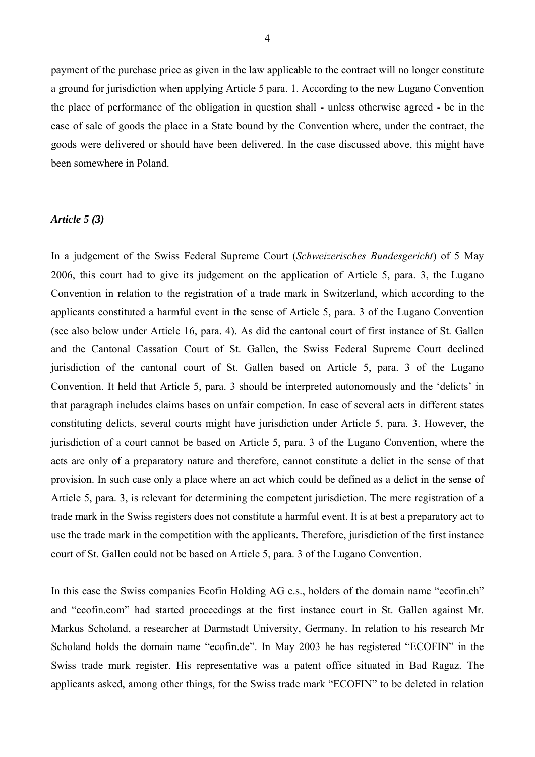payment of the purchase price as given in the law applicable to the contract will no longer constitute a ground for jurisdiction when applying Article 5 para. 1. According to the new Lugano Convention the place of performance of the obligation in question shall - unless otherwise agreed - be in the case of sale of goods the place in a State bound by the Convention where, under the contract, the goods were delivered or should have been delivered. In the case discussed above, this might have been somewhere in Poland.

#### *Article 5 (3)*

In a judgement of the Swiss Federal Supreme Court (*Schweizerisches Bundesgericht*) of 5 May 2006, this court had to give its judgement on the application of Article 5, para. 3, the Lugano Convention in relation to the registration of a trade mark in Switzerland, which according to the applicants constituted a harmful event in the sense of Article 5, para. 3 of the Lugano Convention (see also below under Article 16, para. 4). As did the cantonal court of first instance of St. Gallen and the Cantonal Cassation Court of St. Gallen, the Swiss Federal Supreme Court declined jurisdiction of the cantonal court of St. Gallen based on Article 5, para. 3 of the Lugano Convention. It held that Article 5, para. 3 should be interpreted autonomously and the 'delicts' in that paragraph includes claims bases on unfair competion. In case of several acts in different states constituting delicts, several courts might have jurisdiction under Article 5, para. 3. However, the jurisdiction of a court cannot be based on Article 5, para. 3 of the Lugano Convention, where the acts are only of a preparatory nature and therefore, cannot constitute a delict in the sense of that provision. In such case only a place where an act which could be defined as a delict in the sense of Article 5, para. 3, is relevant for determining the competent jurisdiction. The mere registration of a trade mark in the Swiss registers does not constitute a harmful event. It is at best a preparatory act to use the trade mark in the competition with the applicants. Therefore, jurisdiction of the first instance court of St. Gallen could not be based on Article 5, para. 3 of the Lugano Convention.

In this case the Swiss companies Ecofin Holding AG c.s., holders of the domain name "ecofin.ch" and "ecofin.com" had started proceedings at the first instance court in St. Gallen against Mr. Markus Scholand, a researcher at Darmstadt University, Germany. In relation to his research Mr Scholand holds the domain name "ecofin.de". In May 2003 he has registered "ECOFIN" in the Swiss trade mark register. His representative was a patent office situated in Bad Ragaz. The applicants asked, among other things, for the Swiss trade mark "ECOFIN" to be deleted in relation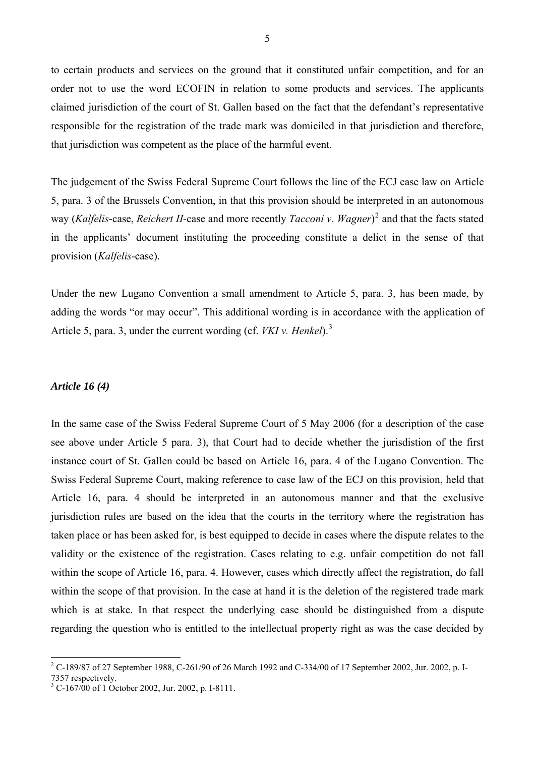to certain products and services on the ground that it constituted unfair competition, and for an order not to use the word ECOFIN in relation to some products and services. The applicants claimed jurisdiction of the court of St. Gallen based on the fact that the defendant's representative responsible for the registration of the trade mark was domiciled in that jurisdiction and therefore, that jurisdiction was competent as the place of the harmful event.

The judgement of the Swiss Federal Supreme Court follows the line of the ECJ case law on Article 5, para. 3 of the Brussels Convention, in that this provision should be interpreted in an autonomous way (*Kalfelis*-case, *Reichert II-*case and more recently *Tacconi v. Wagner*) [2](#page-4-0) and that the facts stated in the applicants' document instituting the proceeding constitute a delict in the sense of that provision (*Kalfelis*-case).

Under the new Lugano Convention a small amendment to Article 5, para. 3, has been made, by adding the words "or may occur". This additional wording is in accordance with the application of Article 5, para. 3, under the current wording (cf. *VKI v. Henkel*).[3](#page-4-1)

#### *Article 16 (4)*

In the same case of the Swiss Federal Supreme Court of 5 May 2006 (for a description of the case see above under Article 5 para. 3), that Court had to decide whether the jurisdistion of the first instance court of St. Gallen could be based on Article 16, para. 4 of the Lugano Convention. The Swiss Federal Supreme Court, making reference to case law of the ECJ on this provision, held that Article 16, para. 4 should be interpreted in an autonomous manner and that the exclusive jurisdiction rules are based on the idea that the courts in the territory where the registration has taken place or has been asked for, is best equipped to decide in cases where the dispute relates to the validity or the existence of the registration. Cases relating to e.g. unfair competition do not fall within the scope of Article 16, para. 4. However, cases which directly affect the registration, do fall within the scope of that provision. In the case at hand it is the deletion of the registered trade mark which is at stake. In that respect the underlying case should be distinguished from a dispute regarding the question who is entitled to the intellectual property right as was the case decided by

<span id="page-4-0"></span><sup>&</sup>lt;sup>2</sup> C-189/87 of 27 September 1988, C-261/90 of 26 March 1992 and C-334/00 of 17 September 2002, Jur. 2002, p. I-

<sup>7357</sup> respectively.

<span id="page-4-1"></span><sup>&</sup>lt;sup>3</sup> C-167/00 of 1 October 2002, Jur. 2002, p. I-8111.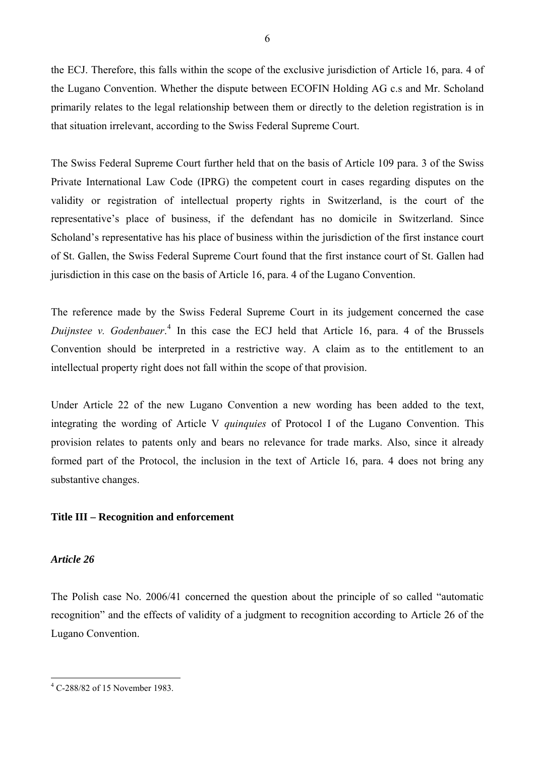the ECJ. Therefore, this falls within the scope of the exclusive jurisdiction of Article 16, para. 4 of the Lugano Convention. Whether the dispute between ECOFIN Holding AG c.s and Mr. Scholand primarily relates to the legal relationship between them or directly to the deletion registration is in that situation irrelevant, according to the Swiss Federal Supreme Court.

The Swiss Federal Supreme Court further held that on the basis of Article 109 para. 3 of the Swiss Private International Law Code (IPRG) the competent court in cases regarding disputes on the validity or registration of intellectual property rights in Switzerland, is the court of the representative's place of business, if the defendant has no domicile in Switzerland. Since Scholand's representative has his place of business within the jurisdiction of the first instance court of St. Gallen, the Swiss Federal Supreme Court found that the first instance court of St. Gallen had jurisdiction in this case on the basis of Article 16, para. 4 of the Lugano Convention.

The reference made by the Swiss Federal Supreme Court in its judgement concerned the case Duijnstee v. Godenbauer.<sup>[4](#page-5-0)</sup> In this case the ECJ held that Article 16, para. 4 of the Brussels Convention should be interpreted in a restrictive way. A claim as to the entitlement to an intellectual property right does not fall within the scope of that provision.

Under Article 22 of the new Lugano Convention a new wording has been added to the text, integrating the wording of Article V *quinquies* of Protocol I of the Lugano Convention. This provision relates to patents only and bears no relevance for trade marks. Also, since it already formed part of the Protocol, the inclusion in the text of Article 16, para. 4 does not bring any substantive changes.

## **Title III – Recognition and enforcement**

## *Article 26*

The Polish case No. 2006/41 concerned the question about the principle of so called "automatic recognition" and the effects of validity of a judgment to recognition according to Article 26 of the Lugano Convention.

<span id="page-5-0"></span> $\overline{a}$ 4 C-288/82 of 15 November 1983.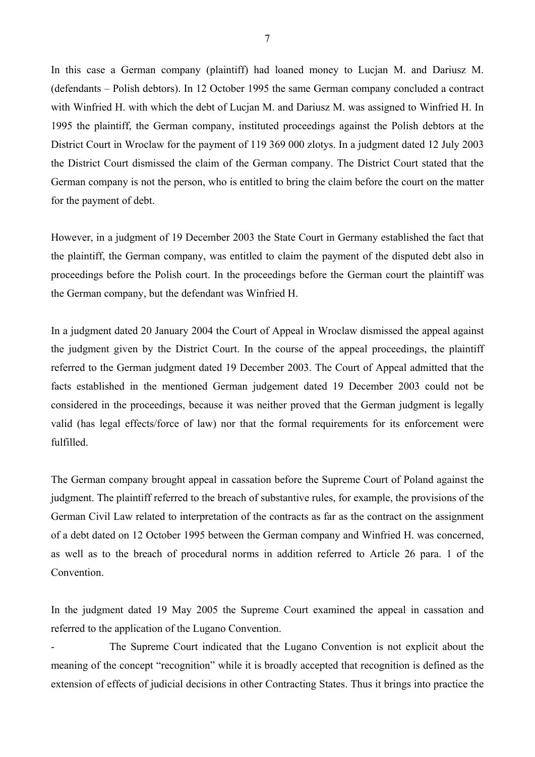In this case a German company (plaintiff) had loaned money to Lucjan M. and Dariusz M. (defendants – Polish debtors). In 12 October 1995 the same German company concluded a contract with Winfried H. with which the debt of Lucjan M. and Dariusz M. was assigned to Winfried H. In 1995 the plaintiff, the German company, instituted proceedings against the Polish debtors at the District Court in Wroclaw for the payment of 119 369 000 zlotys. In a judgment dated 12 July 2003 the District Court dismissed the claim of the German company. The District Court stated that the German company is not the person, who is entitled to bring the claim before the court on the matter for the payment of debt.

However, in a judgment of 19 December 2003 the State Court in Germany established the fact that the plaintiff, the German company, was entitled to claim the payment of the disputed debt also in proceedings before the Polish court. In the proceedings before the German court the plaintiff was the German company, but the defendant was Winfried H.

In a judgment dated 20 January 2004 the Court of Appeal in Wroclaw dismissed the appeal against the judgment given by the District Court. In the course of the appeal proceedings, the plaintiff referred to the German judgment dated 19 December 2003. The Court of Appeal admitted that the facts established in the mentioned German judgement dated 19 December 2003 could not be considered in the proceedings, because it was neither proved that the German judgment is legally valid (has legal effects/force of law) nor that the formal requirements for its enforcement were fulfilled.

The German company brought appeal in cassation before the Supreme Court of Poland against the judgment. The plaintiff referred to the breach of substantive rules, for example, the provisions of the German Civil Law related to interpretation of the contracts as far as the contract on the assignment of a debt dated on 12 October 1995 between the German company and Winfried H. was concerned, as well as to the breach of procedural norms in addition referred to Article 26 para. 1 of the Convention.

In the judgment dated 19 May 2005 the Supreme Court examined the appeal in cassation and referred to the application of the Lugano Convention.

The Supreme Court indicated that the Lugano Convention is not explicit about the meaning of the concept "recognition" while it is broadly accepted that recognition is defined as the extension of effects of judicial decisions in other Contracting States. Thus it brings into practice the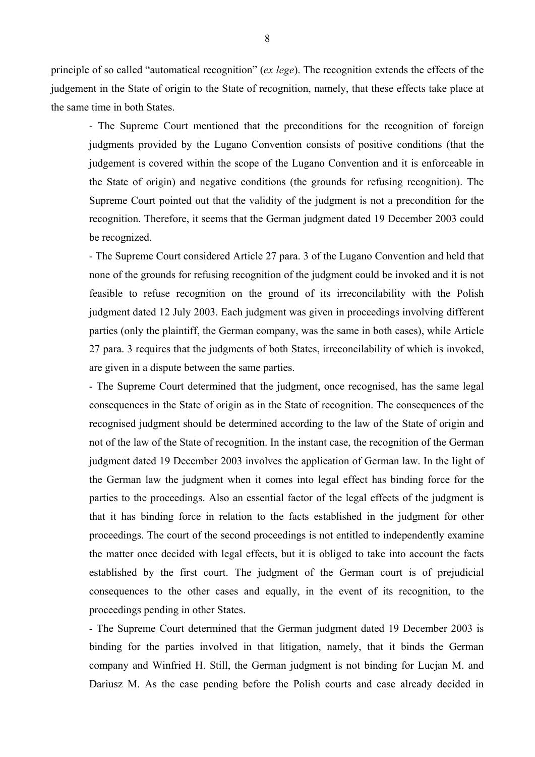principle of so called "automatical recognition" (*ex lege*). The recognition extends the effects of the judgement in the State of origin to the State of recognition, namely, that these effects take place at the same time in both States.

- The Supreme Court mentioned that the preconditions for the recognition of foreign judgments provided by the Lugano Convention consists of positive conditions (that the judgement is covered within the scope of the Lugano Convention and it is enforceable in the State of origin) and negative conditions (the grounds for refusing recognition). The Supreme Court pointed out that the validity of the judgment is not a precondition for the recognition. Therefore, it seems that the German judgment dated 19 December 2003 could be recognized.

- The Supreme Court considered Article 27 para. 3 of the Lugano Convention and held that none of the grounds for refusing recognition of the judgment could be invoked and it is not feasible to refuse recognition on the ground of its irreconcilability with the Polish judgment dated 12 July 2003. Each judgment was given in proceedings involving different parties (only the plaintiff, the German company, was the same in both cases), while Article 27 para. 3 requires that the judgments of both States, irreconcilability of which is invoked, are given in a dispute between the same parties.

- The Supreme Court determined that the judgment, once recognised, has the same legal consequences in the State of origin as in the State of recognition. The consequences of the recognised judgment should be determined according to the law of the State of origin and not of the law of the State of recognition. In the instant case, the recognition of the German judgment dated 19 December 2003 involves the application of German law. In the light of the German law the judgment when it comes into legal effect has binding force for the parties to the proceedings. Also an essential factor of the legal effects of the judgment is that it has binding force in relation to the facts established in the judgment for other proceedings. The court of the second proceedings is not entitled to independently examine the matter once decided with legal effects, but it is obliged to take into account the facts established by the first court. The judgment of the German court is of prejudicial consequences to the other cases and equally, in the event of its recognition, to the proceedings pending in other States.

- The Supreme Court determined that the German judgment dated 19 December 2003 is binding for the parties involved in that litigation, namely, that it binds the German company and Winfried H. Still, the German judgment is not binding for Lucjan M. and Dariusz M. As the case pending before the Polish courts and case already decided in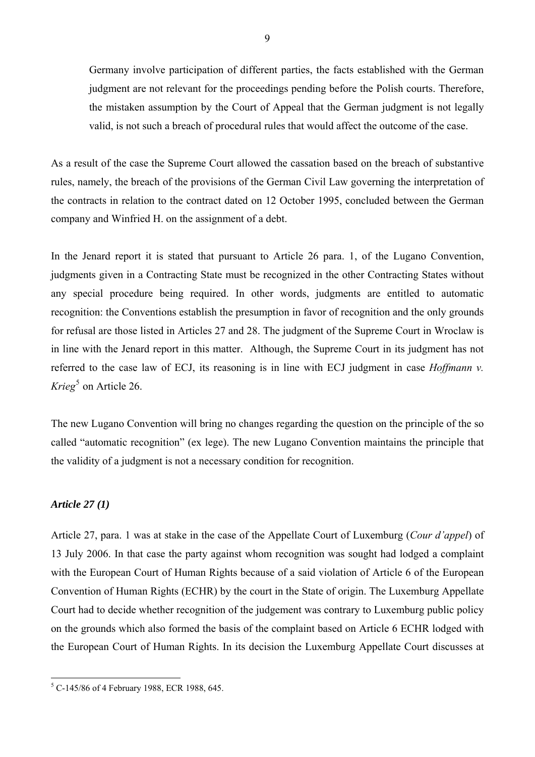Germany involve participation of different parties, the facts established with the German judgment are not relevant for the proceedings pending before the Polish courts. Therefore, the mistaken assumption by the Court of Appeal that the German judgment is not legally valid, is not such a breach of procedural rules that would affect the outcome of the case.

As a result of the case the Supreme Court allowed the cassation based on the breach of substantive rules, namely, the breach of the provisions of the German Civil Law governing the interpretation of the contracts in relation to the contract dated on 12 October 1995, concluded between the German company and Winfried H. on the assignment of a debt.

In the Jenard report it is stated that pursuant to Article 26 para. 1, of the Lugano Convention, judgments given in a Contracting State must be recognized in the other Contracting States without any special procedure being required. In other words, judgments are entitled to automatic recognition: the Conventions establish the presumption in favor of recognition and the only grounds for refusal are those listed in Articles 27 and 28. The judgment of the Supreme Court in Wroclaw is in line with the Jenard report in this matter. Although, the Supreme Court in its judgment has not referred to the case law of ECJ, its reasoning is in line with ECJ judgment in case *Hoffmann v.*  Krieg<sup>[5](#page-8-0)</sup> on Article 26.

The new Lugano Convention will bring no changes regarding the question on the principle of the so called "automatic recognition" (ex lege). The new Lugano Convention maintains the principle that the validity of a judgment is not a necessary condition for recognition.

## *Article 27 (1)*

Article 27, para. 1 was at stake in the case of the Appellate Court of Luxemburg (*Cour d'appel*) of 13 July 2006. In that case the party against whom recognition was sought had lodged a complaint with the European Court of Human Rights because of a said violation of Article 6 of the European Convention of Human Rights (ECHR) by the court in the State of origin. The Luxemburg Appellate Court had to decide whether recognition of the judgement was contrary to Luxemburg public policy on the grounds which also formed the basis of the complaint based on Article 6 ECHR lodged with the European Court of Human Rights. In its decision the Luxemburg Appellate Court discusses at

<span id="page-8-0"></span> 5 C-145/86 of 4 February 1988, ECR 1988, 645.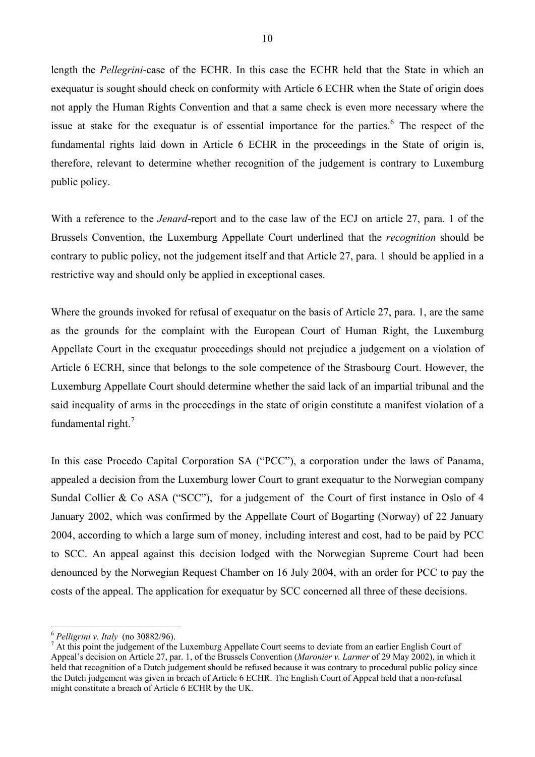length the *Pellegrini*-case of the ECHR. In this case the ECHR held that the State in which an exequatur is sought should check on conformity with Article 6 ECHR when the State of origin does not apply the Human Rights Convention and that a same check is even more necessary where the issue at stake for the exequatur is of essential importance for the parties. $6$  The respect of the fundamental rights laid down in Article 6 ECHR in the proceedings in the State of origin is, therefore, relevant to determine whether recognition of the judgement is contrary to Luxemburg public policy.

With a reference to the *Jenard*-report and to the case law of the ECJ on article 27, para. 1 of the Brussels Convention, the Luxemburg Appellate Court underlined that the *recognition* should be contrary to public policy, not the judgement itself and that Article 27, para. 1 should be applied in a restrictive way and should only be applied in exceptional cases.

Where the grounds invoked for refusal of exequatur on the basis of Article 27, para. 1, are the same as the grounds for the complaint with the European Court of Human Right, the Luxemburg Appellate Court in the exequatur proceedings should not prejudice a judgement on a violation of Article 6 ECRH, since that belongs to the sole competence of the Strasbourg Court. However, the Luxemburg Appellate Court should determine whether the said lack of an impartial tribunal and the said inequality of arms in the proceedings in the state of origin constitute a manifest violation of a fundamental right. $<sup>7</sup>$  $<sup>7</sup>$  $<sup>7</sup>$ </sup>

In this case Procedo Capital Corporation SA ("PCC"), a corporation under the laws of Panama, appealed a decision from the Luxemburg lower Court to grant exequatur to the Norwegian company Sundal Collier & Co ASA ("SCC"), for a judgement of the Court of first instance in Oslo of 4 January 2002, which was confirmed by the Appellate Court of Bogarting (Norway) of 22 January 2004, according to which a large sum of money, including interest and cost, had to be paid by PCC to SCC. An appeal against this decision lodged with the Norwegian Supreme Court had been denounced by the Norwegian Request Chamber on 16 July 2004, with an order for PCC to pay the costs of the appeal. The application for exequatur by SCC concerned all three of these decisions.

<span id="page-9-0"></span><sup>6</sup> *Pelligrini v. Italy* (no 30882/96). 7

<span id="page-9-1"></span><sup>&</sup>lt;sup>7</sup> At this point the judgement of the Luxemburg Appellate Court seems to deviate from an earlier English Court of Appeal's decision on Article 27, par. 1, of the Brussels Convention (*Maronier v. Larmer* of 29 May 2002), in which it held that recognition of a Dutch judgement should be refused because it was contrary to procedural public policy since the Dutch judgement was given in breach of Article 6 ECHR. The English Court of Appeal held that a non-refusal might constitute a breach of Article 6 ECHR by the UK.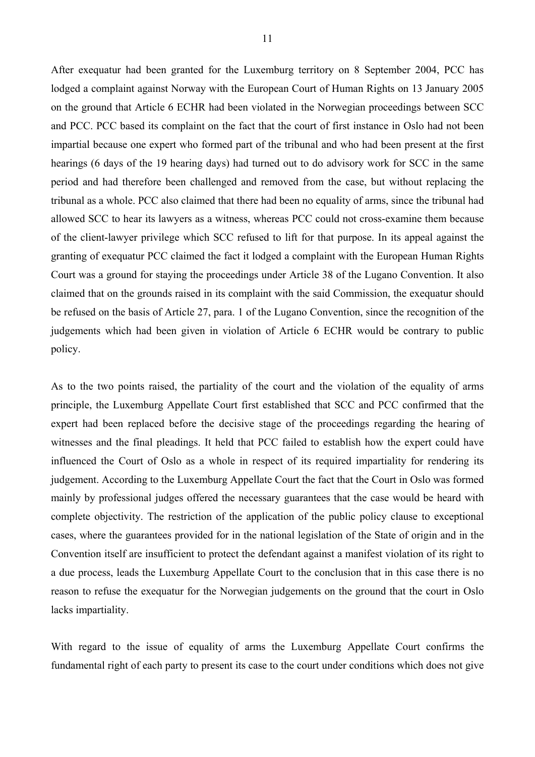After exequatur had been granted for the Luxemburg territory on 8 September 2004, PCC has lodged a complaint against Norway with the European Court of Human Rights on 13 January 2005 on the ground that Article 6 ECHR had been violated in the Norwegian proceedings between SCC and PCC. PCC based its complaint on the fact that the court of first instance in Oslo had not been impartial because one expert who formed part of the tribunal and who had been present at the first hearings (6 days of the 19 hearing days) had turned out to do advisory work for SCC in the same period and had therefore been challenged and removed from the case, but without replacing the tribunal as a whole. PCC also claimed that there had been no equality of arms, since the tribunal had allowed SCC to hear its lawyers as a witness, whereas PCC could not cross-examine them because of the client-lawyer privilege which SCC refused to lift for that purpose. In its appeal against the granting of exequatur PCC claimed the fact it lodged a complaint with the European Human Rights Court was a ground for staying the proceedings under Article 38 of the Lugano Convention. It also claimed that on the grounds raised in its complaint with the said Commission, the exequatur should be refused on the basis of Article 27, para. 1 of the Lugano Convention, since the recognition of the judgements which had been given in violation of Article 6 ECHR would be contrary to public policy.

As to the two points raised, the partiality of the court and the violation of the equality of arms principle, the Luxemburg Appellate Court first established that SCC and PCC confirmed that the expert had been replaced before the decisive stage of the proceedings regarding the hearing of witnesses and the final pleadings. It held that PCC failed to establish how the expert could have influenced the Court of Oslo as a whole in respect of its required impartiality for rendering its judgement. According to the Luxemburg Appellate Court the fact that the Court in Oslo was formed mainly by professional judges offered the necessary guarantees that the case would be heard with complete objectivity. The restriction of the application of the public policy clause to exceptional cases, where the guarantees provided for in the national legislation of the State of origin and in the Convention itself are insufficient to protect the defendant against a manifest violation of its right to a due process, leads the Luxemburg Appellate Court to the conclusion that in this case there is no reason to refuse the exequatur for the Norwegian judgements on the ground that the court in Oslo lacks impartiality.

With regard to the issue of equality of arms the Luxemburg Appellate Court confirms the fundamental right of each party to present its case to the court under conditions which does not give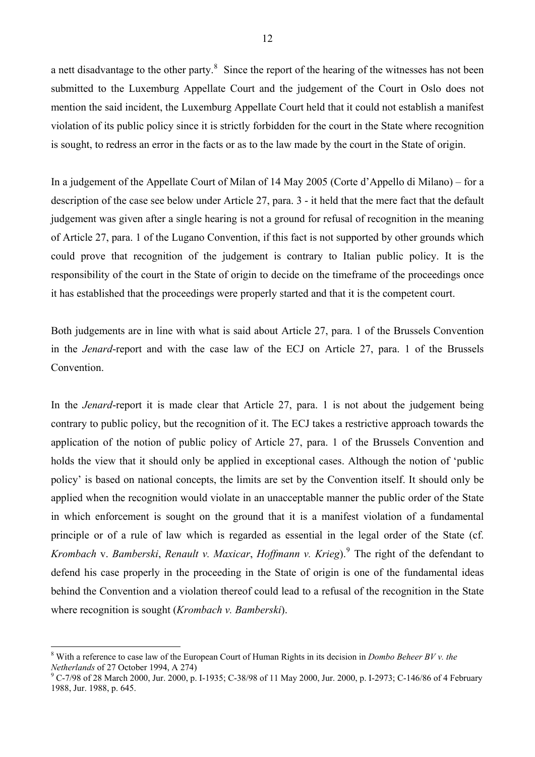a nett disadvantage to the other party. $8$  Since the report of the hearing of the witnesses has not been submitted to the Luxemburg Appellate Court and the judgement of the Court in Oslo does not mention the said incident, the Luxemburg Appellate Court held that it could not establish a manifest violation of its public policy since it is strictly forbidden for the court in the State where recognition is sought, to redress an error in the facts or as to the law made by the court in the State of origin.

In a judgement of the Appellate Court of Milan of 14 May 2005 (Corte d'Appello di Milano) – for a description of the case see below under Article 27, para. 3 - it held that the mere fact that the default judgement was given after a single hearing is not a ground for refusal of recognition in the meaning of Article 27, para. 1 of the Lugano Convention, if this fact is not supported by other grounds which could prove that recognition of the judgement is contrary to Italian public policy. It is the responsibility of the court in the State of origin to decide on the timeframe of the proceedings once it has established that the proceedings were properly started and that it is the competent court.

Both judgements are in line with what is said about Article 27, para. 1 of the Brussels Convention in the *Jenard*-report and with the case law of the ECJ on Article 27, para. 1 of the Brussels Convention.

In the *Jenard*-report it is made clear that Article 27, para. 1 is not about the judgement being contrary to public policy, but the recognition of it. The ECJ takes a restrictive approach towards the application of the notion of public policy of Article 27, para. 1 of the Brussels Convention and holds the view that it should only be applied in exceptional cases. Although the notion of 'public policy' is based on national concepts, the limits are set by the Convention itself. It should only be applied when the recognition would violate in an unacceptable manner the public order of the State in which enforcement is sought on the ground that it is a manifest violation of a fundamental principle or of a rule of law which is regarded as essential in the legal order of the State (cf. Krombach v. *Bamberski, Renault v. Maxicar, Hoffmann v. Krieg*).<sup>[9](#page-11-1)</sup> The right of the defendant to defend his case properly in the proceeding in the State of origin is one of the fundamental ideas behind the Convention and a violation thereof could lead to a refusal of the recognition in the State where recognition is sought (*Krombach v. Bamberski*).

<span id="page-11-0"></span><sup>8</sup> With a reference to case law of the European Court of Human Rights in its decision in *Dombo Beheer BV v. the Netherlands* of 27 October 1994, A 274)

<span id="page-11-1"></span> $^9$  C-7/98 of 28 March 2000, Jur. 2000, p. I-1935; C-38/98 of 11 May 2000, Jur. 2000, p. I-2973; C-146/86 of 4 February 1988, Jur. 1988, p. 645.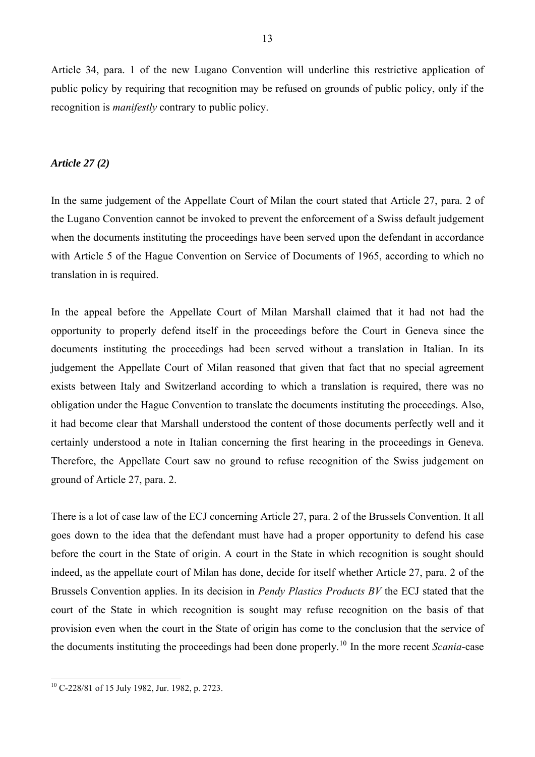Article 34, para. 1 of the new Lugano Convention will underline this restrictive application of public policy by requiring that recognition may be refused on grounds of public policy, only if the recognition is *manifestly* contrary to public policy.

## *Article 27 (2)*

In the same judgement of the Appellate Court of Milan the court stated that Article 27, para. 2 of the Lugano Convention cannot be invoked to prevent the enforcement of a Swiss default judgement when the documents instituting the proceedings have been served upon the defendant in accordance with Article 5 of the Hague Convention on Service of Documents of 1965, according to which no translation in is required.

In the appeal before the Appellate Court of Milan Marshall claimed that it had not had the opportunity to properly defend itself in the proceedings before the Court in Geneva since the documents instituting the proceedings had been served without a translation in Italian. In its judgement the Appellate Court of Milan reasoned that given that fact that no special agreement exists between Italy and Switzerland according to which a translation is required, there was no obligation under the Hague Convention to translate the documents instituting the proceedings. Also, it had become clear that Marshall understood the content of those documents perfectly well and it certainly understood a note in Italian concerning the first hearing in the proceedings in Geneva. Therefore, the Appellate Court saw no ground to refuse recognition of the Swiss judgement on ground of Article 27, para. 2.

There is a lot of case law of the ECJ concerning Article 27, para. 2 of the Brussels Convention. It all goes down to the idea that the defendant must have had a proper opportunity to defend his case before the court in the State of origin. A court in the State in which recognition is sought should indeed, as the appellate court of Milan has done, decide for itself whether Article 27, para. 2 of the Brussels Convention applies. In its decision in *Pendy Plastics Products BV* the ECJ stated that the court of the State in which recognition is sought may refuse recognition on the basis of that provision even when the court in the State of origin has come to the conclusion that the service of the documents instituting the proceedings had been done properly.[10](#page-12-0) In the more recent *Scania*-case

<span id="page-12-0"></span> $10$  C-228/81 of 15 July 1982, Jur. 1982, p. 2723.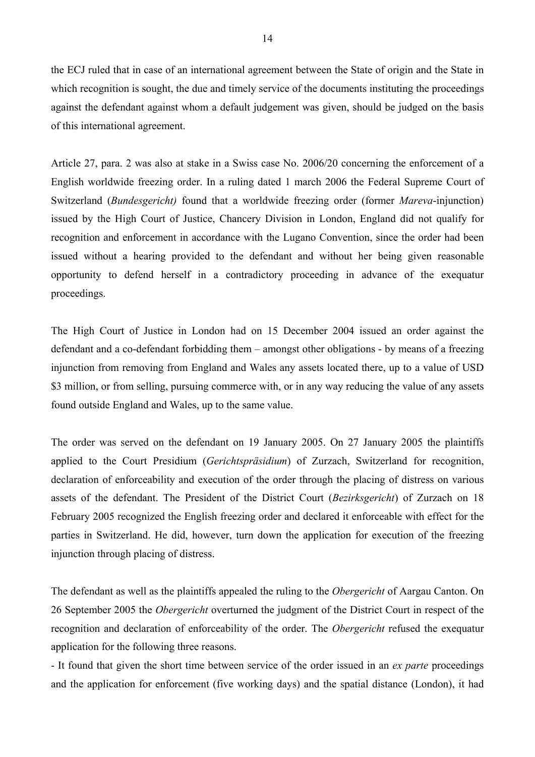the ECJ ruled that in case of an international agreement between the State of origin and the State in which recognition is sought, the due and timely service of the documents instituting the proceedings against the defendant against whom a default judgement was given, should be judged on the basis of this international agreement.

Article 27, para. 2 was also at stake in a Swiss case No. 2006/20 concerning the enforcement of a English worldwide freezing order. In a ruling dated 1 march 2006 the Federal Supreme Court of Switzerland (*Bundesgericht)* found that a worldwide freezing order (former *Mareva*-injunction) issued by the High Court of Justice, Chancery Division in London, England did not qualify for recognition and enforcement in accordance with the Lugano Convention, since the order had been issued without a hearing provided to the defendant and without her being given reasonable opportunity to defend herself in a contradictory proceeding in advance of the exequatur proceedings.

The High Court of Justice in London had on 15 December 2004 issued an order against the defendant and a co-defendant forbidding them – amongst other obligations - by means of a freezing injunction from removing from England and Wales any assets located there, up to a value of USD \$3 million, or from selling, pursuing commerce with, or in any way reducing the value of any assets found outside England and Wales, up to the same value.

The order was served on the defendant on 19 January 2005. On 27 January 2005 the plaintiffs applied to the Court Presidium (*Gerichtspräsidium*) of Zurzach, Switzerland for recognition, declaration of enforceability and execution of the order through the placing of distress on various assets of the defendant. The President of the District Court (*Bezirksgericht*) of Zurzach on 18 February 2005 recognized the English freezing order and declared it enforceable with effect for the parties in Switzerland. He did, however, turn down the application for execution of the freezing injunction through placing of distress.

The defendant as well as the plaintiffs appealed the ruling to the *Obergericht* of Aargau Canton. On 26 September 2005 the *Obergericht* overturned the judgment of the District Court in respect of the recognition and declaration of enforceability of the order. The *Obergericht* refused the exequatur application for the following three reasons.

- It found that given the short time between service of the order issued in an *ex parte* proceedings and the application for enforcement (five working days) and the spatial distance (London), it had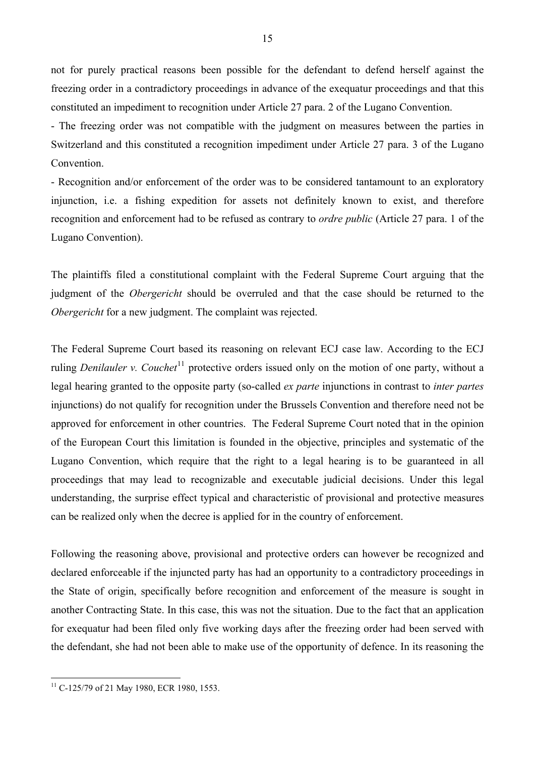not for purely practical reasons been possible for the defendant to defend herself against the freezing order in a contradictory proceedings in advance of the exequatur proceedings and that this constituted an impediment to recognition under Article 27 para. 2 of the Lugano Convention.

- The freezing order was not compatible with the judgment on measures between the parties in Switzerland and this constituted a recognition impediment under Article 27 para. 3 of the Lugano **Convention** 

- Recognition and/or enforcement of the order was to be considered tantamount to an exploratory injunction, i.e. a fishing expedition for assets not definitely known to exist, and therefore recognition and enforcement had to be refused as contrary to *ordre public* (Article 27 para. 1 of the Lugano Convention).

The plaintiffs filed a constitutional complaint with the Federal Supreme Court arguing that the judgment of the *Obergericht* should be overruled and that the case should be returned to the *Obergericht* for a new judgment. The complaint was rejected.

The Federal Supreme Court based its reasoning on relevant ECJ case law. According to the ECJ ruling *Denilauler v. Couchet*<sup>[11](#page-14-0)</sup> protective orders issued only on the motion of one party, without a legal hearing granted to the opposite party (so-called *ex parte* injunctions in contrast to *inter partes* injunctions) do not qualify for recognition under the Brussels Convention and therefore need not be approved for enforcement in other countries. The Federal Supreme Court noted that in the opinion of the European Court this limitation is founded in the objective, principles and systematic of the Lugano Convention, which require that the right to a legal hearing is to be guaranteed in all proceedings that may lead to recognizable and executable judicial decisions. Under this legal understanding, the surprise effect typical and characteristic of provisional and protective measures can be realized only when the decree is applied for in the country of enforcement.

Following the reasoning above, provisional and protective orders can however be recognized and declared enforceable if the injuncted party has had an opportunity to a contradictory proceedings in the State of origin, specifically before recognition and enforcement of the measure is sought in another Contracting State. In this case, this was not the situation. Due to the fact that an application for exequatur had been filed only five working days after the freezing order had been served with the defendant, she had not been able to make use of the opportunity of defence. In its reasoning the

<span id="page-14-0"></span><sup>&</sup>lt;sup>11</sup> C-125/79 of 21 May 1980, ECR 1980, 1553.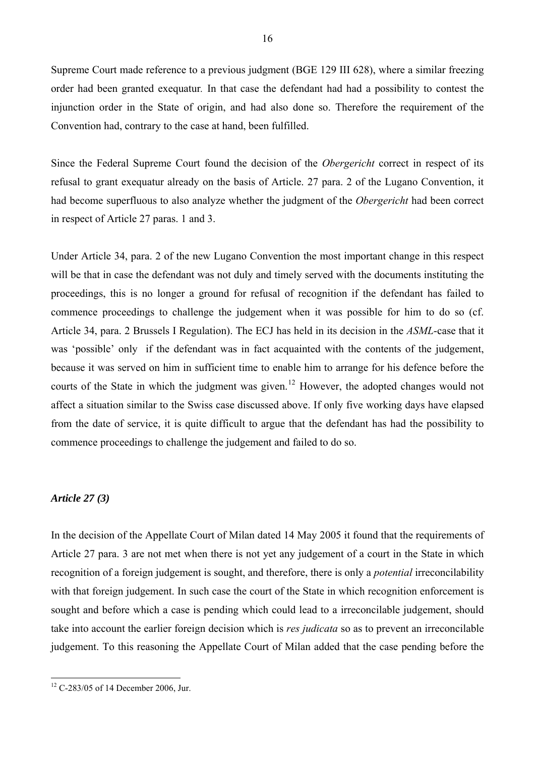Supreme Court made reference to a previous judgment (BGE 129 III 628), where a similar freezing order had been granted exequatur*.* In that case the defendant had had a possibility to contest the injunction order in the State of origin, and had also done so. Therefore the requirement of the Convention had, contrary to the case at hand, been fulfilled.

Since the Federal Supreme Court found the decision of the *Obergericht* correct in respect of its refusal to grant exequatur already on the basis of Article. 27 para. 2 of the Lugano Convention, it had become superfluous to also analyze whether the judgment of the *Obergericht* had been correct in respect of Article 27 paras. 1 and 3.

Under Article 34, para. 2 of the new Lugano Convention the most important change in this respect will be that in case the defendant was not duly and timely served with the documents instituting the proceedings, this is no longer a ground for refusal of recognition if the defendant has failed to commence proceedings to challenge the judgement when it was possible for him to do so (cf. Article 34, para. 2 Brussels I Regulation). The ECJ has held in its decision in the *ASML*-case that it was 'possible' only if the defendant was in fact acquainted with the contents of the judgement, because it was served on him in sufficient time to enable him to arrange for his defence before the courts of the State in which the judgment was given.<sup>[12](#page-15-0)</sup> However, the adopted changes would not affect a situation similar to the Swiss case discussed above. If only five working days have elapsed from the date of service, it is quite difficult to argue that the defendant has had the possibility to commence proceedings to challenge the judgement and failed to do so.

## *Article 27 (3)*

 $\overline{a}$ 

In the decision of the Appellate Court of Milan dated 14 May 2005 it found that the requirements of Article 27 para. 3 are not met when there is not yet any judgement of a court in the State in which recognition of a foreign judgement is sought, and therefore, there is only a *potential* irreconcilability with that foreign judgement. In such case the court of the State in which recognition enforcement is sought and before which a case is pending which could lead to a irreconcilable judgement, should take into account the earlier foreign decision which is *res judicata* so as to prevent an irreconcilable judgement. To this reasoning the Appellate Court of Milan added that the case pending before the

<span id="page-15-0"></span> $12$  C-283/05 of 14 December 2006, Jur.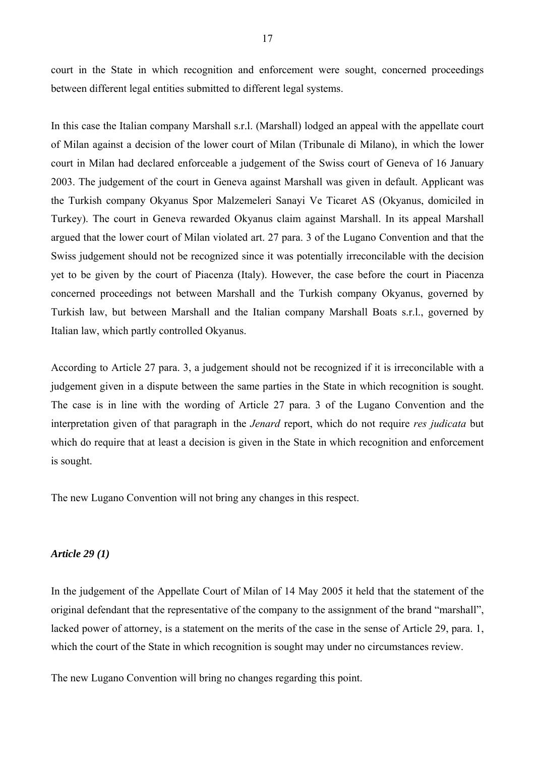court in the State in which recognition and enforcement were sought, concerned proceedings between different legal entities submitted to different legal systems.

In this case the Italian company Marshall s.r.l. (Marshall) lodged an appeal with the appellate court of Milan against a decision of the lower court of Milan (Tribunale di Milano), in which the lower court in Milan had declared enforceable a judgement of the Swiss court of Geneva of 16 January 2003. The judgement of the court in Geneva against Marshall was given in default. Applicant was the Turkish company Okyanus Spor Malzemeleri Sanayi Ve Ticaret AS (Okyanus, domiciled in Turkey). The court in Geneva rewarded Okyanus claim against Marshall. In its appeal Marshall argued that the lower court of Milan violated art. 27 para. 3 of the Lugano Convention and that the Swiss judgement should not be recognized since it was potentially irreconcilable with the decision yet to be given by the court of Piacenza (Italy). However, the case before the court in Piacenza concerned proceedings not between Marshall and the Turkish company Okyanus, governed by Turkish law, but between Marshall and the Italian company Marshall Boats s.r.l., governed by Italian law, which partly controlled Okyanus.

According to Article 27 para. 3, a judgement should not be recognized if it is irreconcilable with a judgement given in a dispute between the same parties in the State in which recognition is sought. The case is in line with the wording of Article 27 para. 3 of the Lugano Convention and the interpretation given of that paragraph in the *Jenard* report, which do not require *res judicata* but which do require that at least a decision is given in the State in which recognition and enforcement is sought.

The new Lugano Convention will not bring any changes in this respect.

#### *Article 29 (1)*

In the judgement of the Appellate Court of Milan of 14 May 2005 it held that the statement of the original defendant that the representative of the company to the assignment of the brand "marshall", lacked power of attorney, is a statement on the merits of the case in the sense of Article 29, para. 1, which the court of the State in which recognition is sought may under no circumstances review.

The new Lugano Convention will bring no changes regarding this point.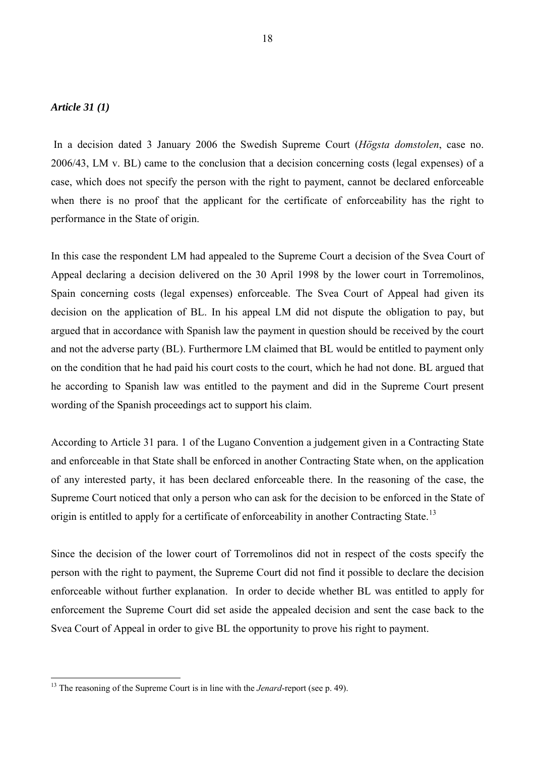## *Article 31 (1)*

 $\overline{a}$ 

 In a decision dated 3 January 2006 the Swedish Supreme Court (*Högsta domstolen*, case no. 2006/43, LM v. BL) came to the conclusion that a decision concerning costs (legal expenses) of a case, which does not specify the person with the right to payment, cannot be declared enforceable when there is no proof that the applicant for the certificate of enforceability has the right to performance in the State of origin.

In this case the respondent LM had appealed to the Supreme Court a decision of the Svea Court of Appeal declaring a decision delivered on the 30 April 1998 by the lower court in Torremolinos, Spain concerning costs (legal expenses) enforceable. The Svea Court of Appeal had given its decision on the application of BL. In his appeal LM did not dispute the obligation to pay, but argued that in accordance with Spanish law the payment in question should be received by the court and not the adverse party (BL). Furthermore LM claimed that BL would be entitled to payment only on the condition that he had paid his court costs to the court, which he had not done. BL argued that he according to Spanish law was entitled to the payment and did in the Supreme Court present wording of the Spanish proceedings act to support his claim.

According to Article 31 para. 1 of the Lugano Convention a judgement given in a Contracting State and enforceable in that State shall be enforced in another Contracting State when, on the application of any interested party, it has been declared enforceable there. In the reasoning of the case, the Supreme Court noticed that only a person who can ask for the decision to be enforced in the State of origin is entitled to apply for a certificate of enforceability in another Contracting State.<sup>[13](#page-17-0)</sup>

Since the decision of the lower court of Torremolinos did not in respect of the costs specify the person with the right to payment, the Supreme Court did not find it possible to declare the decision enforceable without further explanation. In order to decide whether BL was entitled to apply for enforcement the Supreme Court did set aside the appealed decision and sent the case back to the Svea Court of Appeal in order to give BL the opportunity to prove his right to payment.

<span id="page-17-0"></span><sup>&</sup>lt;sup>13</sup> The reasoning of the Supreme Court is in line with the *Jenard*-report (see p. 49).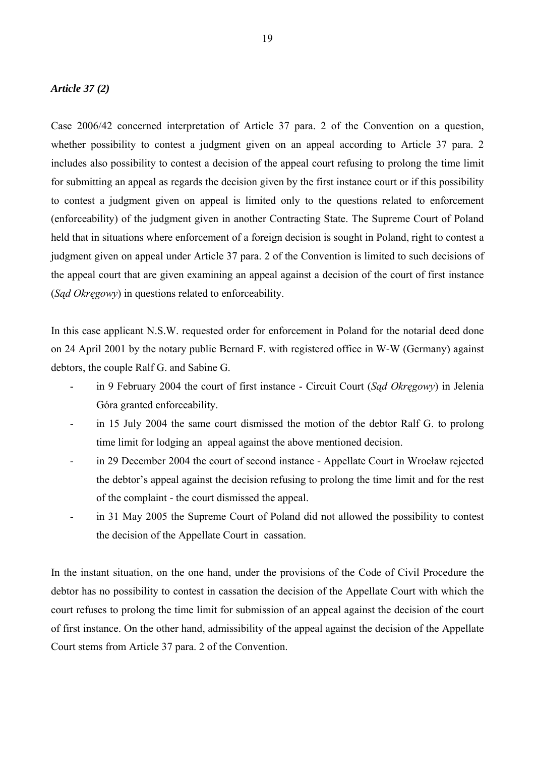## *Article 37 (2)*

Case 2006/42 concerned interpretation of Article 37 para. 2 of the Convention on a question, whether possibility to contest a judgment given on an appeal according to Article 37 para. 2 includes also possibility to contest a decision of the appeal court refusing to prolong the time limit for submitting an appeal as regards the decision given by the first instance court or if this possibility to contest a judgment given on appeal is limited only to the questions related to enforcement (enforceability) of the judgment given in another Contracting State. The Supreme Court of Poland held that in situations where enforcement of a foreign decision is sought in Poland, right to contest a judgment given on appeal under Article 37 para. 2 of the Convention is limited to such decisions of the appeal court that are given examining an appeal against a decision of the court of first instance (*Sąd Okręgowy*) in questions related to enforceability.

In this case applicant N.S.W. requested order for enforcement in Poland for the notarial deed done on 24 April 2001 by the notary public Bernard F. with registered office in W-W (Germany) against debtors, the couple Ralf G. and Sabine G.

- in 9 February 2004 the court of first instance Circuit Court (*Sąd Okręgowy*) in Jelenia Góra granted enforceability.
- in 15 July 2004 the same court dismissed the motion of the debtor Ralf G. to prolong time limit for lodging an appeal against the above mentioned decision.
- in 29 December 2004 the court of second instance Appellate Court in Wrocław rejected the debtor's appeal against the decision refusing to prolong the time limit and for the rest of the complaint - the court dismissed the appeal.
- in 31 May 2005 the Supreme Court of Poland did not allowed the possibility to contest the decision of the Appellate Court in cassation.

In the instant situation, on the one hand, under the provisions of the Code of Civil Procedure the debtor has no possibility to contest in cassation the decision of the Appellate Court with which the court refuses to prolong the time limit for submission of an appeal against the decision of the court of first instance. On the other hand, admissibility of the appeal against the decision of the Appellate Court stems from Article 37 para. 2 of the Convention.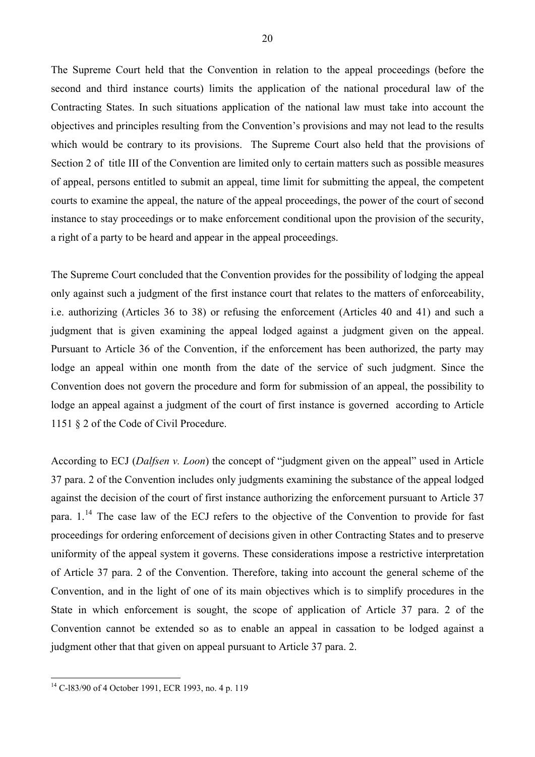The Supreme Court held that the Convention in relation to the appeal proceedings (before the second and third instance courts) limits the application of the national procedural law of the Contracting States. In such situations application of the national law must take into account the objectives and principles resulting from the Convention's provisions and may not lead to the results which would be contrary to its provisions. The Supreme Court also held that the provisions of Section 2 of title III of the Convention are limited only to certain matters such as possible measures of appeal, persons entitled to submit an appeal, time limit for submitting the appeal, the competent courts to examine the appeal, the nature of the appeal proceedings, the power of the court of second instance to stay proceedings or to make enforcement conditional upon the provision of the security, a right of a party to be heard and appear in the appeal proceedings.

The Supreme Court concluded that the Convention provides for the possibility of lodging the appeal only against such a judgment of the first instance court that relates to the matters of enforceability, i.e. authorizing (Articles 36 to 38) or refusing the enforcement (Articles 40 and 41) and such a judgment that is given examining the appeal lodged against a judgment given on the appeal. Pursuant to Article 36 of the Convention, if the enforcement has been authorized, the party may lodge an appeal within one month from the date of the service of such judgment. Since the Convention does not govern the procedure and form for submission of an appeal, the possibility to lodge an appeal against a judgment of the court of first instance is governed according to Article 1151 § 2 of the Code of Civil Procedure.

According to ECJ (*Dalfsen v. Loon*) the concept of "judgment given on the appeal" used in Article 37 para. 2 of the Convention includes only judgments examining the substance of the appeal lodged against the decision of the court of first instance authorizing the enforcement pursuant to Article 37 para.  $1<sup>14</sup>$  $1<sup>14</sup>$  $1<sup>14</sup>$ . The case law of the ECJ refers to the objective of the Convention to provide for fast proceedings for ordering enforcement of decisions given in other Contracting States and to preserve uniformity of the appeal system it governs. These considerations impose a restrictive interpretation of Article 37 para. 2 of the Convention. Therefore, taking into account the general scheme of the Convention, and in the light of one of its main objectives which is to simplify procedures in the State in which enforcement is sought, the scope of application of Article 37 para. 2 of the Convention cannot be extended so as to enable an appeal in cassation to be lodged against a judgment other that that given on appeal pursuant to Article 37 para. 2.

<span id="page-19-0"></span> $14$  C-l83/90 of 4 October 1991, ECR 1993, no. 4 p. 119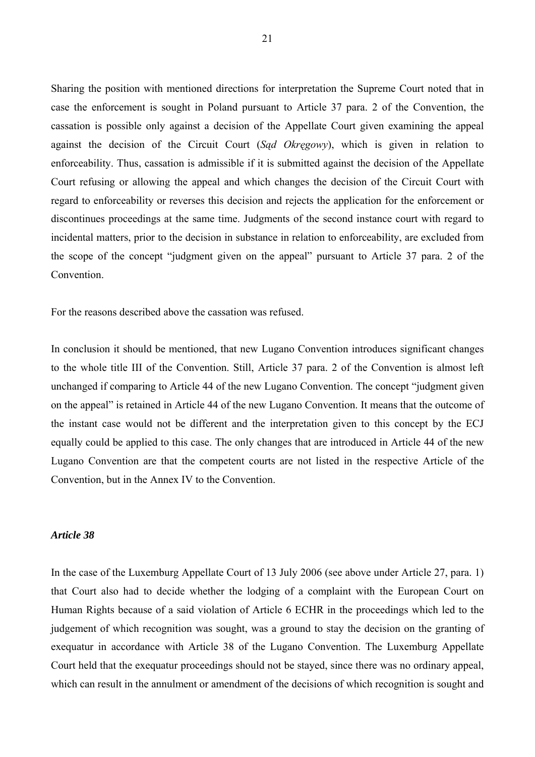Sharing the position with mentioned directions for interpretation the Supreme Court noted that in case the enforcement is sought in Poland pursuant to Article 37 para. 2 of the Convention, the cassation is possible only against a decision of the Appellate Court given examining the appeal against the decision of the Circuit Court (*Sąd Okręgowy*), which is given in relation to enforceability. Thus, cassation is admissible if it is submitted against the decision of the Appellate Court refusing or allowing the appeal and which changes the decision of the Circuit Court with regard to enforceability or reverses this decision and rejects the application for the enforcement or discontinues proceedings at the same time. Judgments of the second instance court with regard to incidental matters, prior to the decision in substance in relation to enforceability, are excluded from the scope of the concept "judgment given on the appeal" pursuant to Article 37 para. 2 of the Convention.

For the reasons described above the cassation was refused.

In conclusion it should be mentioned, that new Lugano Convention introduces significant changes to the whole title III of the Convention. Still, Article 37 para. 2 of the Convention is almost left unchanged if comparing to Article 44 of the new Lugano Convention. The concept "judgment given on the appeal" is retained in Article 44 of the new Lugano Convention. It means that the outcome of the instant case would not be different and the interpretation given to this concept by the ECJ equally could be applied to this case. The only changes that are introduced in Article 44 of the new Lugano Convention are that the competent courts are not listed in the respective Article of the Convention, but in the Annex IV to the Convention.

## *Article 38*

In the case of the Luxemburg Appellate Court of 13 July 2006 (see above under Article 27, para. 1) that Court also had to decide whether the lodging of a complaint with the European Court on Human Rights because of a said violation of Article 6 ECHR in the proceedings which led to the judgement of which recognition was sought, was a ground to stay the decision on the granting of exequatur in accordance with Article 38 of the Lugano Convention. The Luxemburg Appellate Court held that the exequatur proceedings should not be stayed, since there was no ordinary appeal, which can result in the annulment or amendment of the decisions of which recognition is sought and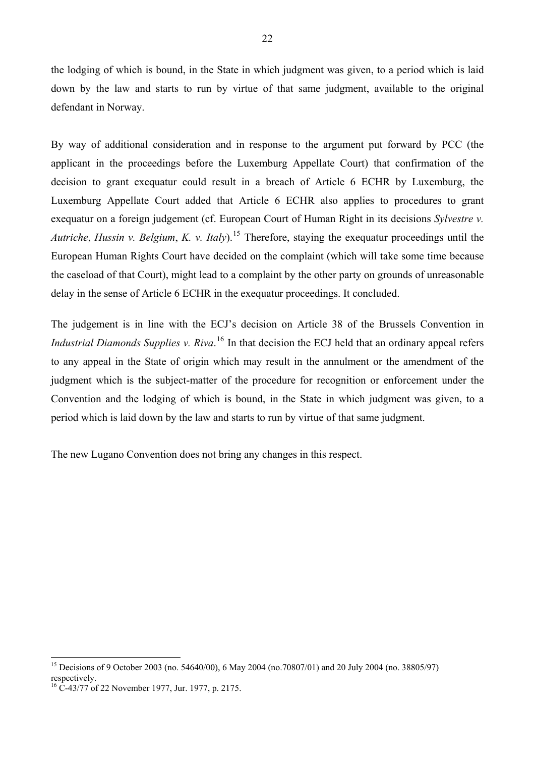the lodging of which is bound, in the State in which judgment was given, to a period which is laid down by the law and starts to run by virtue of that same judgment, available to the original defendant in Norway.

By way of additional consideration and in response to the argument put forward by PCC (the applicant in the proceedings before the Luxemburg Appellate Court) that confirmation of the decision to grant exequatur could result in a breach of Article 6 ECHR by Luxemburg, the Luxemburg Appellate Court added that Article 6 ECHR also applies to procedures to grant exequatur on a foreign judgement (cf. European Court of Human Right in its decisions *Sylvestre v. Autriche*, *Hussin v. Belgium*, *K. v. Italy*).[15](#page-21-0) Therefore, staying the exequatur proceedings until the European Human Rights Court have decided on the complaint (which will take some time because the caseload of that Court), might lead to a complaint by the other party on grounds of unreasonable delay in the sense of Article 6 ECHR in the exequatur proceedings. It concluded.

The judgement is in line with the ECJ's decision on Article 38 of the Brussels Convention in *Industrial Diamonds Supplies v. Riva.*<sup>[16](#page-21-1)</sup> In that decision the ECJ held that an ordinary appeal refers to any appeal in the State of origin which may result in the annulment or the amendment of the judgment which is the subject-matter of the procedure for recognition or enforcement under the Convention and the lodging of which is bound, in the State in which judgment was given, to a period which is laid down by the law and starts to run by virtue of that same judgment.

The new Lugano Convention does not bring any changes in this respect.

<span id="page-21-0"></span><sup>&</sup>lt;sup>15</sup> Decisions of 9 October 2003 (no. 54640/00), 6 May 2004 (no.70807/01) and 20 July 2004 (no. 38805/97) respectively.

<span id="page-21-1"></span> $^{16}$  C-43/77 of 22 November 1977, Jur. 1977, p. 2175.